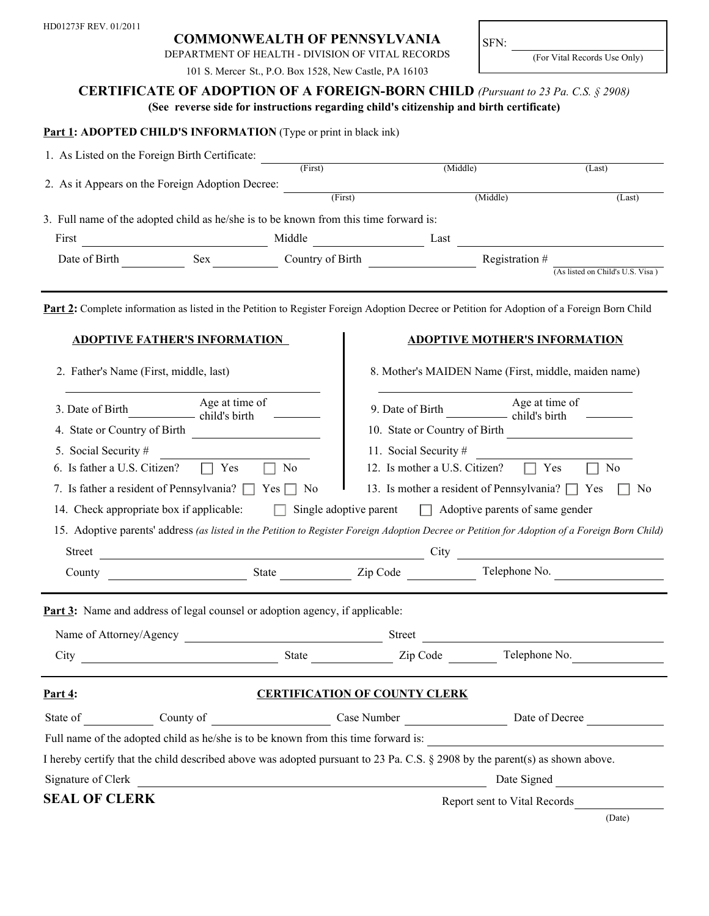## **COMMONWEALTH OF PENNSYLVANIA**

DEPARTMENT OF HEALTH - DIVISION OF VITAL RECORDS

SFN:

(For Vital Records Use Only)

| 101 S. Mercer St., P.O. Box 1528, New Castle, PA 16103                                                                                         |                                      |                                                                        |                                        |             |  |
|------------------------------------------------------------------------------------------------------------------------------------------------|--------------------------------------|------------------------------------------------------------------------|----------------------------------------|-------------|--|
| <b>CERTIFICATE OF ADOPTION OF A FOREIGN-BORN CHILD</b> (Pursuant to 23 Pa. C.S. § 2908)                                                        |                                      |                                                                        |                                        |             |  |
| (See reverse side for instructions regarding child's citizenship and birth certificate)                                                        |                                      |                                                                        |                                        |             |  |
| <b>Part 1: ADOPTED CHILD'S INFORMATION</b> (Type or print in black ink)                                                                        |                                      |                                                                        |                                        |             |  |
| 1. As Listed on the Foreign Birth Certificate:                                                                                                 |                                      |                                                                        |                                        |             |  |
| $\frac{1}{\text{First}}$                                                                                                                       |                                      | (Middle)                                                               |                                        | (Last)      |  |
| 2. As it Appears on the Foreign Adoption Decree:                                                                                               | (First)                              |                                                                        | (Middle)                               | (Last)      |  |
|                                                                                                                                                |                                      |                                                                        |                                        |             |  |
| 3. Full name of the adopted child as he/she is to be known from this time forward is:                                                          |                                      |                                                                        |                                        |             |  |
| First<br>Middle<br><u> 1980 - Jan Stein Stein Stein Stein Stein Stein Stein Stein Stein Stein Stein Stein Stein Stein Stein Stein S</u>        | <b>Exercise East</b>                 |                                                                        |                                        |             |  |
| Sex<br>Date of Birth                                                                                                                           |                                      | Country of Birth<br>Registration #<br>(As listed on Child's U.S. Visa) |                                        |             |  |
|                                                                                                                                                |                                      |                                                                        |                                        |             |  |
| Part 2: Complete information as listed in the Petition to Register Foreign Adoption Decree or Petition for Adoption of a Foreign Born Child    |                                      |                                                                        |                                        |             |  |
|                                                                                                                                                |                                      |                                                                        |                                        |             |  |
| <b>ADOPTIVE FATHER'S INFORMATION</b>                                                                                                           |                                      |                                                                        | <b>ADOPTIVE MOTHER'S INFORMATION</b>   |             |  |
|                                                                                                                                                |                                      | 8. Mother's MAIDEN Name (First, middle, maiden name)                   |                                        |             |  |
| 2. Father's Name (First, middle, last)                                                                                                         |                                      |                                                                        |                                        |             |  |
| Age at time of<br>3. Date of Birth                                                                                                             |                                      | Age at time of                                                         |                                        |             |  |
| child's birth                                                                                                                                  |                                      |                                                                        |                                        |             |  |
| 4. State or Country of Birth                                                                                                                   |                                      | 10. State or Country of Birth                                          |                                        |             |  |
| 5. Social Security #                                                                                                                           |                                      | 11. Social Security #                                                  |                                        |             |  |
| 6. Is father a U.S. Citizen?<br>Yes<br>N <sub>0</sub><br>$\perp$                                                                               |                                      | 12. Is mother a U.S. Citizen?<br>Yes<br>N <sub>0</sub><br>$\Box$       |                                        |             |  |
| 7. Is father a resident of Pennsylvania? $\Box$ Yes $\Box$ No                                                                                  |                                      | 13. Is mother a resident of Pennsylvania? $\Box$ Yes<br>N <sub>0</sub> |                                        |             |  |
| 14. Check appropriate box if applicable:                                                                                                       | Single adoptive parent               |                                                                        | $\Box$ Adoptive parents of same gender |             |  |
| 15. Adoptive parents' address (as listed in the Petition to Register Foreign Adoption Decree or Petition for Adoption of a Foreign Born Child) |                                      |                                                                        |                                        |             |  |
| <u> 1980 - Johann Barbara, martxa amerikan personal (h. 1980).</u><br><b>Street</b>                                                            |                                      | City                                                                   |                                        |             |  |
| County                                                                                                                                         | State <u>Zip</u> Code                |                                                                        | Telephone No.                          |             |  |
|                                                                                                                                                |                                      |                                                                        |                                        |             |  |
| <b>Part 3:</b> Name and address of legal counsel or adoption agency, if applicable:                                                            |                                      |                                                                        |                                        |             |  |
|                                                                                                                                                |                                      |                                                                        |                                        |             |  |
|                                                                                                                                                |                                      |                                                                        |                                        |             |  |
| Part $4$ :                                                                                                                                     | <b>CERTIFICATION OF COUNTY CLERK</b> |                                                                        |                                        |             |  |
| State of County of Case Number Case Number Date of Decree                                                                                      |                                      |                                                                        |                                        |             |  |
| Full name of the adopted child as he/she is to be known from this time forward is:                                                             |                                      |                                                                        |                                        |             |  |
| I hereby certify that the child described above was adopted pursuant to 23 Pa. C.S. § 2908 by the parent(s) as shown above.                    |                                      |                                                                        |                                        |             |  |
|                                                                                                                                                |                                      |                                                                        |                                        |             |  |
| Signature of Clerk<br><u> 1989 - Johann Stoff, deutscher Stoff, der Stoff, der Stoff, der Stoff, der Stoff, der Stoff, der Stoff, der S</u>    |                                      |                                                                        |                                        | Date Signed |  |
| <b>SEAL OF CLERK</b>                                                                                                                           |                                      |                                                                        | Report sent to Vital Records           |             |  |
|                                                                                                                                                |                                      |                                                                        |                                        | (Date)      |  |